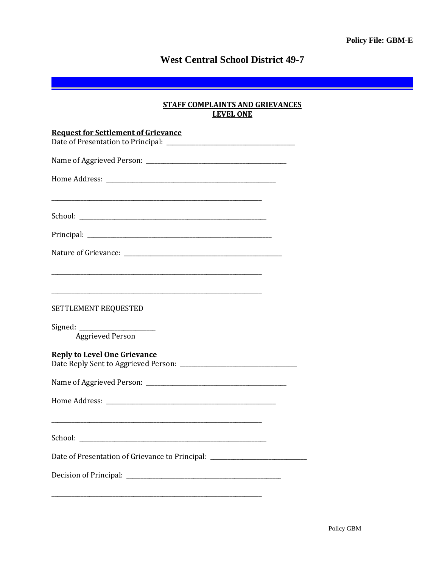# **West Central School District 49-7**

## **STAFF COMPLAINTS AND GRIEVANCES LEVEL ONE**

| <b>Request for Settlement of Grievance</b>                                                                                                      |
|-------------------------------------------------------------------------------------------------------------------------------------------------|
|                                                                                                                                                 |
|                                                                                                                                                 |
|                                                                                                                                                 |
|                                                                                                                                                 |
|                                                                                                                                                 |
|                                                                                                                                                 |
| and the control of the control of the control of the control of the control of the control of the control of the<br><b>SETTLEMENT REQUESTED</b> |
| <b>Aggrieved Person</b>                                                                                                                         |
| <b>Reply to Level One Grievance</b>                                                                                                             |
|                                                                                                                                                 |
|                                                                                                                                                 |
|                                                                                                                                                 |
| Date of Presentation of Grievance to Principal: ________________________________                                                                |
|                                                                                                                                                 |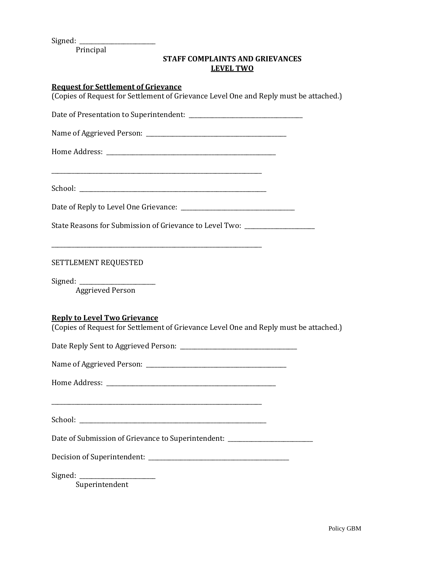Signed:

Principal

## **STAFF COMPLAINTS AND GRIEVANCES LEVEL TWO**

#### **Request for Settlement of Grievance**

(Copies of Request for Settlement of Grievance Level One and Reply must be attached.)

Date of Presentation to Superintendent: \_\_\_\_\_\_\_\_\_\_\_\_\_\_\_\_\_\_\_\_\_\_\_\_\_\_\_\_\_\_\_\_\_\_\_\_\_\_\_

Name of Aggrieved Person: \_\_\_\_\_\_\_\_\_\_\_\_\_\_\_\_\_\_\_\_\_\_\_\_\_\_\_\_\_\_\_\_\_\_\_\_\_\_\_\_\_\_\_\_\_\_\_\_

\_\_\_\_\_\_\_\_\_\_\_\_\_\_\_\_\_\_\_\_\_\_\_\_\_\_\_\_\_\_\_\_\_\_\_\_\_\_\_\_\_\_\_\_\_\_\_\_\_\_\_\_\_\_\_\_\_\_\_\_\_\_\_\_\_\_\_\_\_\_\_\_

\_\_\_\_\_\_\_\_\_\_\_\_\_\_\_\_\_\_\_\_\_\_\_\_\_\_\_\_\_\_\_\_\_\_\_\_\_\_\_\_\_\_\_\_\_\_\_\_\_\_\_\_\_\_\_\_\_\_\_\_\_\_\_\_\_\_\_\_\_\_\_\_

Home Address: \_\_\_\_\_\_\_\_\_\_\_\_\_\_\_\_\_\_\_\_\_\_\_\_\_\_\_\_\_\_\_\_\_\_\_\_\_\_\_\_\_\_\_\_\_\_\_\_\_\_\_\_\_\_\_\_\_\_

School: \_\_\_\_\_\_\_\_\_\_\_\_\_\_\_\_\_\_\_\_\_\_\_\_\_\_\_\_\_\_\_\_\_\_\_\_\_\_\_\_\_\_\_\_\_\_\_\_\_\_\_\_\_\_\_\_\_\_\_\_\_\_\_\_

Date of Reply to Level One Grievance: \_\_\_\_\_\_\_\_\_\_\_\_\_\_\_\_\_\_\_\_\_\_\_\_\_\_\_\_\_\_\_\_\_\_\_\_\_\_\_

State Reasons for Submission of Grievance to Level Two: \_\_\_\_\_\_\_\_\_\_\_\_\_\_\_\_\_\_\_\_\_\_\_\_

SETTLEMENT REQUESTED

Signed: Aggrieved Person

#### **Reply to Level Two Grievance**

(Copies of Request for Settlement of Grievance Level One and Reply must be attached.)

Date Reply Sent to Aggrieved Person: \_\_\_\_\_\_\_\_\_\_\_\_\_\_\_\_\_\_\_\_\_\_\_\_\_\_\_\_\_\_\_\_\_\_\_\_\_\_\_\_

| Name of Aggrieved Person: |  |
|---------------------------|--|
|---------------------------|--|

Home Address: \_\_\_\_\_\_\_\_\_\_\_\_\_\_\_\_\_\_\_\_\_\_\_\_\_\_\_\_\_\_\_\_\_\_\_\_\_\_\_\_\_\_\_\_\_\_\_\_\_\_\_\_\_\_\_\_\_\_

\_\_\_\_\_\_\_\_\_\_\_\_\_\_\_\_\_\_\_\_\_\_\_\_\_\_\_\_\_\_\_\_\_\_\_\_\_\_\_\_\_\_\_\_\_\_\_\_\_\_\_\_\_\_\_\_\_\_\_\_\_\_\_\_\_\_\_\_\_\_\_\_

School:  $\Box$ 

Date of Submission of Grievance to Superintendent:

| Decision of Superintendent: |  |
|-----------------------------|--|
|-----------------------------|--|

 $Sigma:$   $\Box$ 

Superintendent